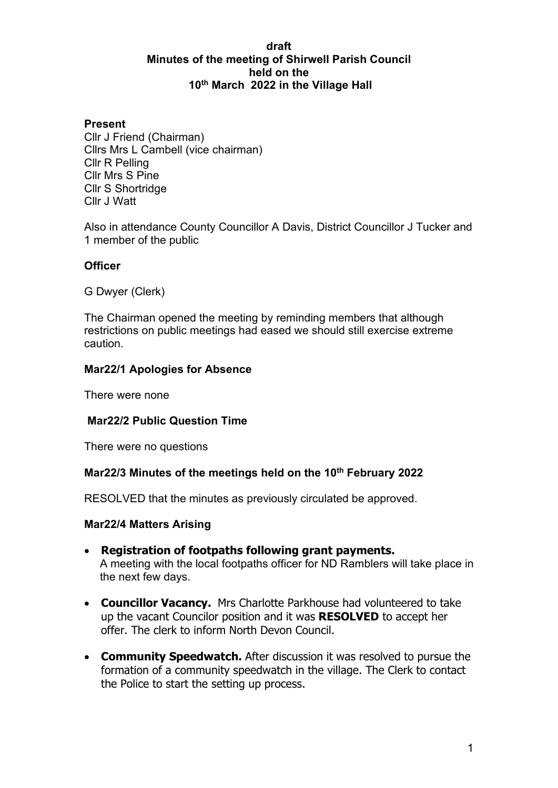#### **draft Minutes of the meeting of Shirwell Parish Council held on the 10th March 2022 in the Village Hall**

#### **Present**

Cllr J Friend (Chairman) Cllrs Mrs L Cambell (vice chairman) Cllr R Pelling Cllr Mrs S Pine Cllr S Shortridge Cllr J Watt

Also in attendance County Councillor A Davis, District Councillor J Tucker and 1 member of the public

#### **Officer**

G Dwyer (Clerk)

The Chairman opened the meeting by reminding members that although restrictions on public meetings had eased we should still exercise extreme caution.

### **Mar22/1 Apologies for Absence**

There were none

#### **Mar22/2 Public Question Time**

There were no questions

#### **Mar22/3 Minutes of the meetings held on the 10th February 2022**

RESOLVED that the minutes as previously circulated be approved.

#### **Mar22/4 Matters Arising**

- **Registration of footpaths following grant payments.**  A meeting with the local footpaths officer for ND Ramblers will take place in the next few days.
- **Councillor Vacancy.** Mrs Charlotte Parkhouse had volunteered to take up the vacant Councilor position and it was **RESOLVED** to accept her offer. The clerk to inform North Devon Council.
- **Community Speedwatch.** After discussion it was resolved to pursue the formation of a community speedwatch in the village. The Clerk to contact the Police to start the setting up process.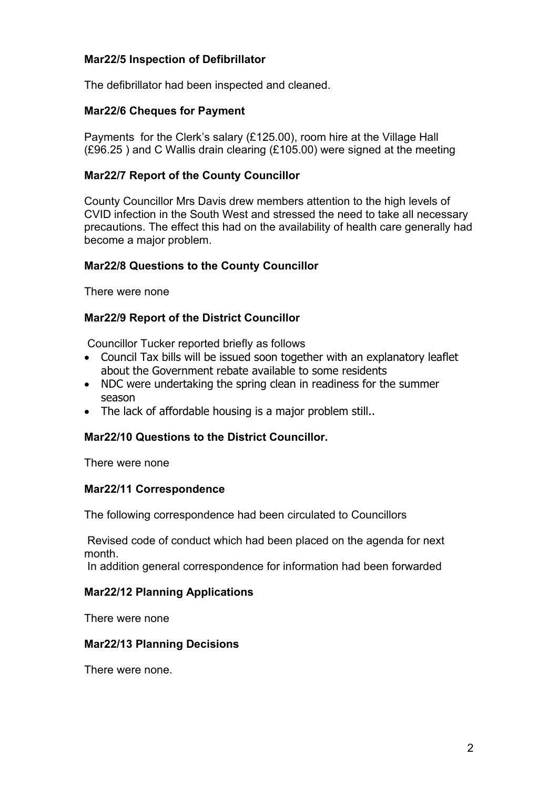# **Mar22/5 Inspection of Defibrillator**

The defibrillator had been inspected and cleaned.

# **Mar22/6 Cheques for Payment**

Payments for the Clerk's salary (£125.00), room hire at the Village Hall (£96.25 ) and C Wallis drain clearing (£105.00) were signed at the meeting

# **Mar22/7 Report of the County Councillor**

County Councillor Mrs Davis drew members attention to the high levels of CVID infection in the South West and stressed the need to take all necessary precautions. The effect this had on the availability of health care generally had become a major problem.

#### **Mar22/8 Questions to the County Councillor**

There were none

### **Mar22/9 Report of the District Councillor**

Councillor Tucker reported briefly as follows

- Council Tax bills will be issued soon together with an explanatory leaflet about the Government rebate available to some residents
- NDC were undertaking the spring clean in readiness for the summer season
- The lack of affordable housing is a major problem still..

#### **Mar22/10 Questions to the District Councillor.**

There were none

#### **Mar22/11 Correspondence**

The following correspondence had been circulated to Councillors

Revised code of conduct which had been placed on the agenda for next month.

In addition general correspondence for information had been forwarded

#### **Mar22/12 Planning Applications**

There were none

#### **Mar22/13 Planning Decisions**

There were none.